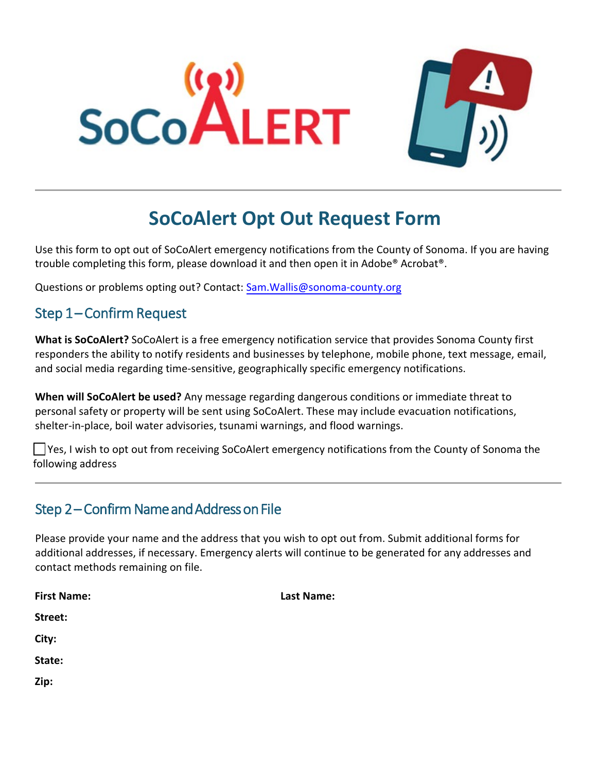



# **SoCoAlert Opt Out Request Form**

Use this form to opt out of SoCoAlert emergency notifications from the County of Sonoma. If you are having trouble completing this form, please download it and then open it in Adobe® Acrobat®.

Questions or problems opting out? Contact: [Sam.Wallis@sonoma-county.org](mailto:sam.wallis@sonoma-county.org)

## Step 1-Confirm Request

**What is SoCoAlert?** SoCoAlert is a free emergency notification service that provides Sonoma County first responders the ability to notify residents and businesses by telephone, mobile phone, text message, email, and social media regarding time-sensitive, geographically specific emergency notifications.

**When will SoCoAlert be used?** Any message regarding dangerous conditions or immediate threat to personal safety or property will be sent using SoCoAlert. These may include evacuation notifications, shelter-in-place, boil water advisories, tsunami warnings, and flood warnings.

□ Yes, I wish to opt out from receiving SoCoAlert emergency notifications from the County of Sonoma the following address

## Step 2 – Confirm Name and Address on File

Please provide your name and the address that you wish to opt out from. Submit additional forms for additional addresses, if necessary. Emergency alerts will continue to be generated for any addresses and contact methods remaining on file.

| <b>First Name:</b> | <b>Last Name:</b> |
|--------------------|-------------------|
| Street:            |                   |
| City:              |                   |
| State:             |                   |
| Zip:               |                   |
|                    |                   |